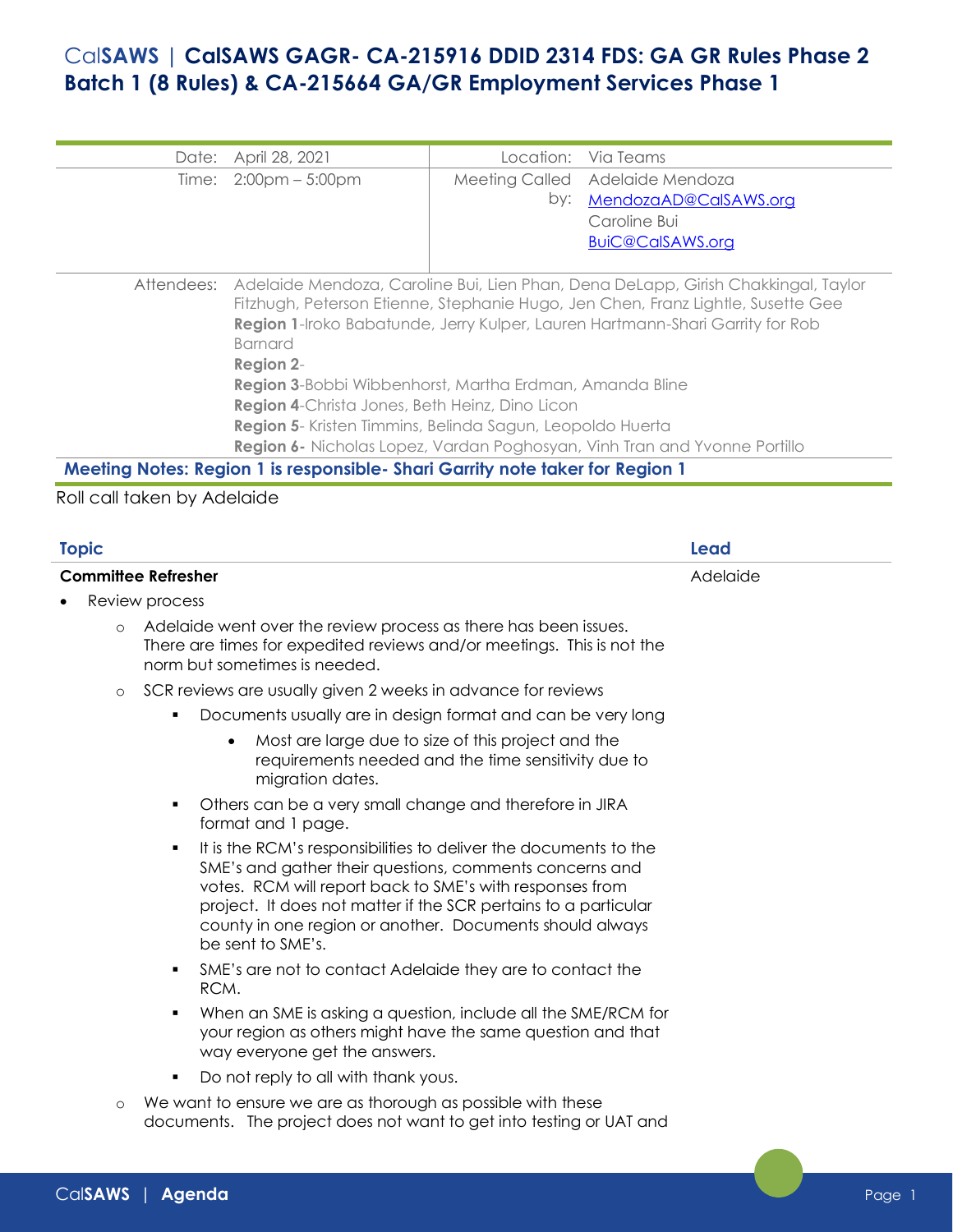## Cal**SAWS | CalSAWS GAGR- CA-215916 DDID 2314 FDS: GA GR Rules Phase 2 Batch 1 (8 Rules) & CA-215664 GA/GR Employment Services Phase 1**

|                                                         | Date: April 28, 2021                                                                                                                                                                                                                                                                  |     | Location: Via Teams             |  |  |
|---------------------------------------------------------|---------------------------------------------------------------------------------------------------------------------------------------------------------------------------------------------------------------------------------------------------------------------------------------|-----|---------------------------------|--|--|
|                                                         | Time: $2:00 \text{pm} - 5:00 \text{pm}$                                                                                                                                                                                                                                               |     | Meeting Called Adelaide Mendoza |  |  |
|                                                         |                                                                                                                                                                                                                                                                                       | by: | MendozaAD@CalSAWS.org           |  |  |
|                                                         |                                                                                                                                                                                                                                                                                       |     | Caroline Bui                    |  |  |
|                                                         |                                                                                                                                                                                                                                                                                       |     | BuiC@CalSAWS.org                |  |  |
|                                                         |                                                                                                                                                                                                                                                                                       |     |                                 |  |  |
| Attendees:                                              | Adelaide Mendoza, Caroline Bui, Lien Phan, Dena DeLapp, Girish Chakkingal, Taylor<br>Fitzhugh, Peterson Etienne, Stephanie Hugo, Jen Chen, Franz Lightle, Susette Gee<br>Region 1-Iroko Babatunde, Jerry Kulper, Lauren Hartmann-Shari Garrity for Rob<br><b>Barnard</b><br>Region 2- |     |                                 |  |  |
| Region 3-Bobbi Wibbenhorst, Martha Erdman, Amanda Bline |                                                                                                                                                                                                                                                                                       |     |                                 |  |  |
|                                                         | <b>Region 4-Christa Jones, Beth Heinz, Dino Licon</b>                                                                                                                                                                                                                                 |     |                                 |  |  |
|                                                         | Region 5- Kristen Timmins, Belinda Sagun, Leopoldo Huerta                                                                                                                                                                                                                             |     |                                 |  |  |
|                                                         | Region 6- Nicholas Lopez, Vardan Poghosyan, Vinh Tran and Yvonne Portillo                                                                                                                                                                                                             |     |                                 |  |  |
|                                                         | Meeting Notes: Region 1 is responsible- Shari Garrity note taker for Region 1                                                                                                                                                                                                         |     |                                 |  |  |

## Roll call taken by Adelaide

| <b>Topic</b>               |         | Lead                                                                                                                                                                                                                                                                                                                                             |          |
|----------------------------|---------|--------------------------------------------------------------------------------------------------------------------------------------------------------------------------------------------------------------------------------------------------------------------------------------------------------------------------------------------------|----------|
| <b>Committee Refresher</b> |         |                                                                                                                                                                                                                                                                                                                                                  | Adelaide |
|                            |         | Review process                                                                                                                                                                                                                                                                                                                                   |          |
|                            | $\circ$ | Adelaide went over the review process as there has been issues.<br>There are times for expedited reviews and/or meetings. This is not the<br>norm but sometimes is needed.                                                                                                                                                                       |          |
|                            | $\circ$ | SCR reviews are usually given 2 weeks in advance for reviews                                                                                                                                                                                                                                                                                     |          |
|                            |         | Documents usually are in design format and can be very long                                                                                                                                                                                                                                                                                      |          |
|                            |         | Most are large due to size of this project and the<br>$\bullet$<br>requirements needed and the time sensitivity due to<br>migration dates.                                                                                                                                                                                                       |          |
|                            |         | Others can be a very small change and therefore in JIRA<br>٠<br>format and 1 page.                                                                                                                                                                                                                                                               |          |
|                            |         | It is the RCM's responsibilities to deliver the documents to the<br>٠<br>SME's and gather their questions, comments concerns and<br>votes. RCM will report back to SME's with responses from<br>project. It does not matter if the SCR pertains to a particular<br>county in one region or another. Documents should always<br>be sent to SME's. |          |
|                            |         | SME's are not to contact Adelaide they are to contact the<br>٠<br>RCM.                                                                                                                                                                                                                                                                           |          |
|                            |         | When an SME is asking a question, include all the SME/RCM for<br>٠<br>your region as others might have the same question and that<br>way everyone get the answers.                                                                                                                                                                               |          |
|                            |         | Do not reply to all with thank yous.<br>٠                                                                                                                                                                                                                                                                                                        |          |
|                            | $\circ$ | We want to ensure we are as thorough as possible with these<br>documents. The project does not want to get into testing or UAT and                                                                                                                                                                                                               |          |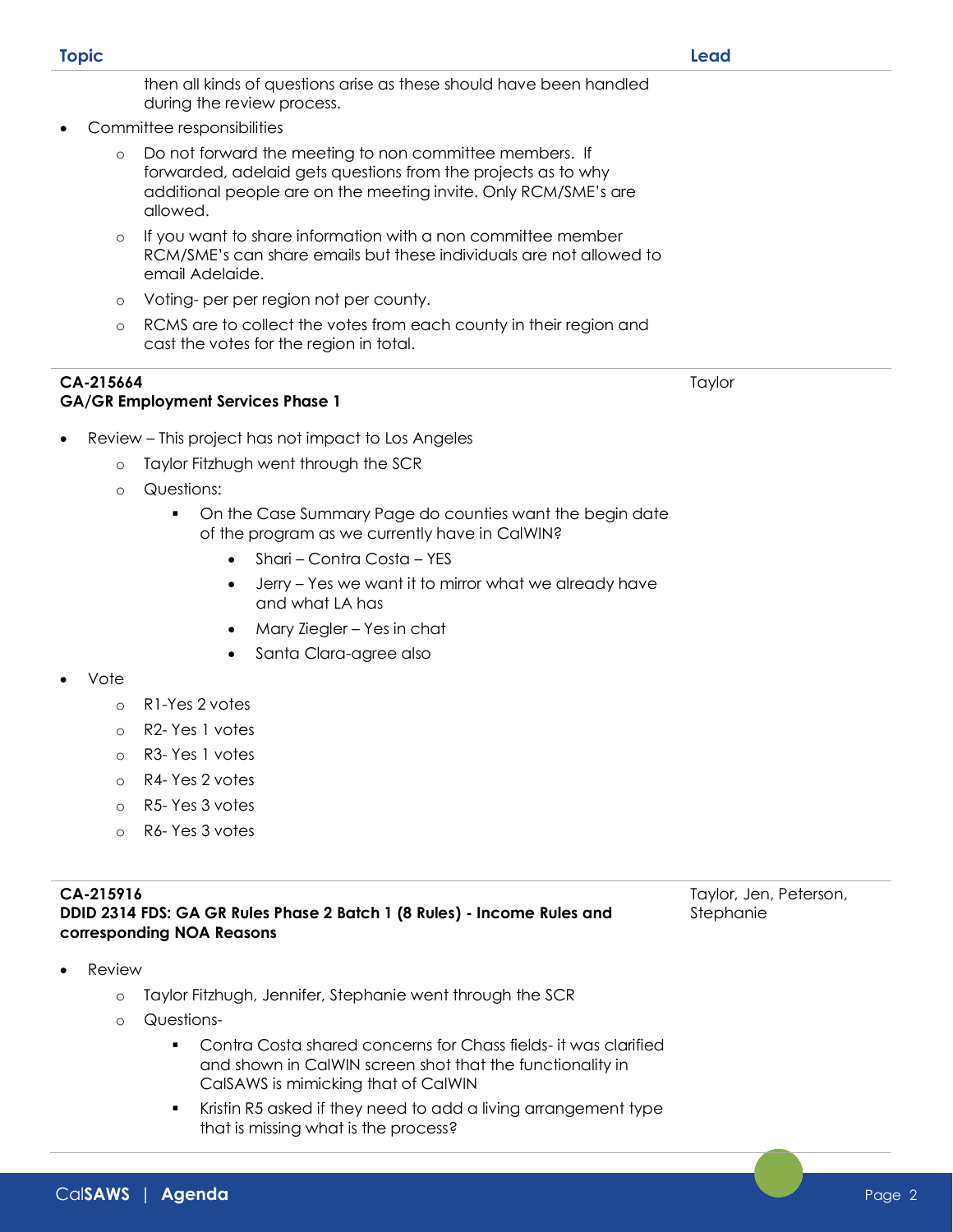**Review** 

## **CA-215916 DDID 2314 FDS: GA GR Rules Phase 2 Batch 1 (8 Rules) - Income Rules and corresponding NOA Reasons**

o Taylor Fitzhugh, Jennifer, Stephanie went through the SCR

CalSAWS is mimicking that of CalWIN

that is missing what is the process?

■ Contra Costa shared concerns for Chass fields- it was clarified and shown in CalWIN screen shot that the functionality in

■ Kristin R5 asked if they need to add a living arrangement type

- o R1-Yes 2 votes
- o R2- Yes 1 votes
- o R3- Yes 1 votes
- 
- o R5- Yes 3 votes
- o R6- Yes 3 votes

o Questions-

- Review This project has not impact to Los Angeles
	- o Taylor Fitzhugh went through the SCR
	- o Questions:

**GA/GR Employment Services Phase 1**

- On the Case Summary Page do counties want the begin date of the program as we currently have in CalWIN?
	- Shari Contra Costa YES
	- Jerry Yes we want it to mirror what we already have and what LA has
	- Mary Ziegler Yes in chat
	- Santa Clara-agree also

**CA-215664**

- Vote
	-
	-
	- o R4- Yes 2 votes
	-
	-

then all kinds of questions arise as these should have been handled during the review process.

• Committee responsibilities

o Do not forward the meeting to non committee members. If forwarded, adelaid gets questions from the projects as to why additional people are on the meeting invite. Only RCM/SME's are allowed.

- o If you want to share information with a non committee member RCM/SME's can share emails but these individuals are not allowed to email Adelaide.
- o Voting- per per region not per county.
- o RCMS are to collect the votes from each county in their region and cast the votes for the region in total.

**Topic Lead**

Taylor, Jen, Peterson, Stephanie